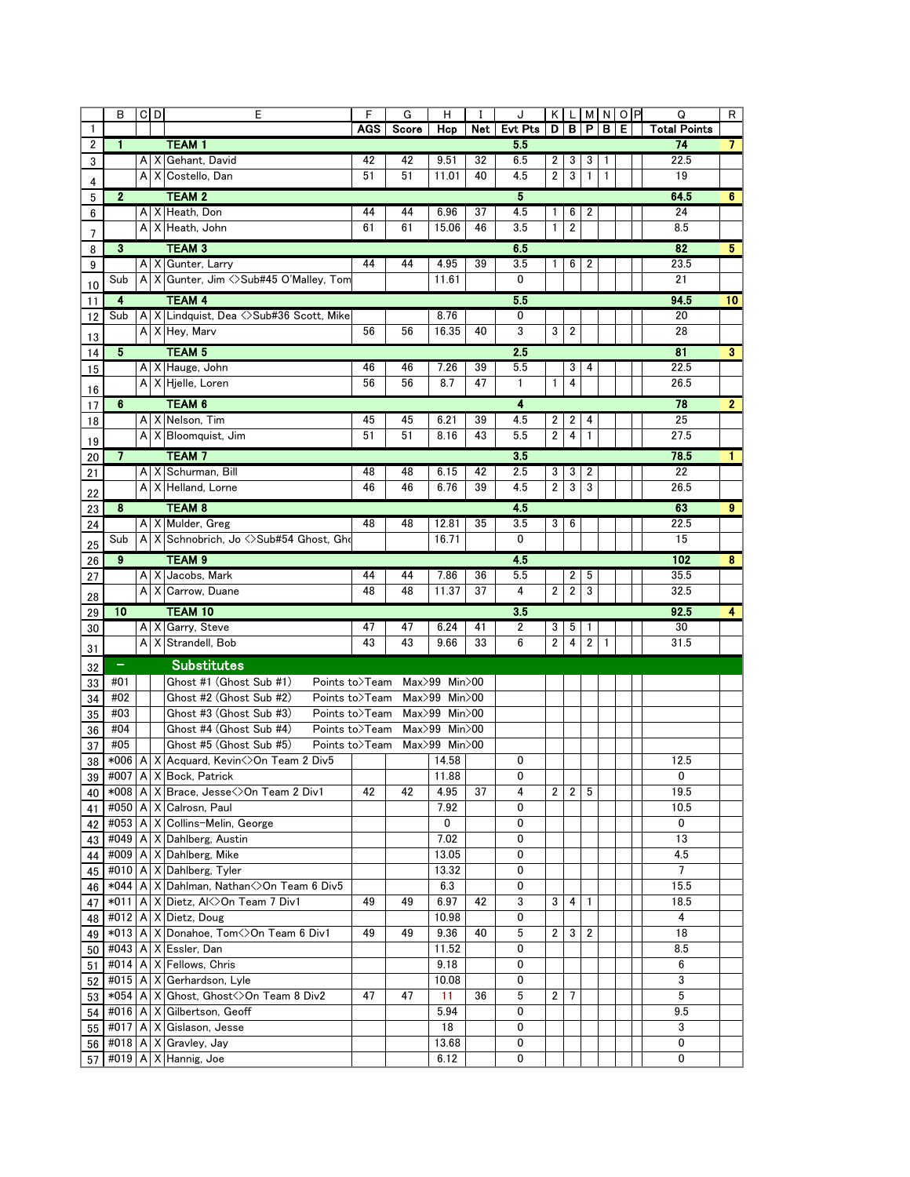|    | в                       | $C$ <sub>D</sub> | E                                                                              | F          | G                            | Н                  |     | J              | K              | $\mathsf{L}$            |                |   | MNOP | Q                   | R                       |
|----|-------------------------|------------------|--------------------------------------------------------------------------------|------------|------------------------------|--------------------|-----|----------------|----------------|-------------------------|----------------|---|------|---------------------|-------------------------|
| 1  |                         |                  |                                                                                | <b>AGS</b> | Score                        | Hcp                | Net | <b>Evt Pts</b> | D              | в                       | P.             | в | Е    | <b>Total Points</b> |                         |
| 2  | $\mathbf{1}$            |                  | <b>TEAM1</b>                                                                   |            |                              |                    |     | 5.5            |                |                         |                |   |      | 74                  | $\mathbf{7}$            |
| 3  |                         |                  | A   X   Gehant, David                                                          | 42         | 42                           | 9.51               | 32  | 6.5            | 2              | 3                       | 3              | 1 |      | 22.5                |                         |
|    |                         |                  | A X Costello, Dan                                                              | 51         | 51                           | 11.01              | 40  | 4.5            | $\overline{2}$ | 3                       | $\mathbf{1}$   | 1 |      | 19                  |                         |
| 4  |                         |                  |                                                                                |            |                              |                    |     | 5              |                |                         |                |   |      |                     |                         |
| 5  | $\mathbf{2}$            |                  | <b>TEAM 2</b>                                                                  |            |                              |                    |     |                |                |                         |                |   |      | 64.5                | 6                       |
| 6  |                         |                  | A X Heath, Don                                                                 | 44         | 44                           | 6.96               | 37  | 4.5            | 1              | 6                       | 2              |   |      | 24                  |                         |
| 7  |                         |                  | A   X   Heath, John                                                            | 61         | 61                           | 15.06              | 46  | 3.5            | $\mathbf{1}$   | $\overline{2}$          |                |   |      | 8.5                 |                         |
| 8  | 3                       |                  | <b>TEAM 3</b>                                                                  |            |                              |                    |     | 6.5            |                |                         |                |   |      | 82                  | 5 <sub>1</sub>          |
| 9  |                         |                  | A   X   Gunter, Larry                                                          | 44         | 44                           | 4.95               | 39  | 3.5            | 1              | 6                       | 2              |   |      | 23.5                |                         |
| 10 | Sub                     |                  | A   X   Gunter, Jim <> Sub#45 O'Malley, Tom                                    |            |                              | 11.61              |     | 0              |                |                         |                |   |      | 21                  |                         |
| 11 | $\overline{\mathbf{4}}$ |                  | <b>TEAM 4</b>                                                                  |            |                              |                    |     | 5.5            |                |                         |                |   |      | 94.5                | 10 <sup>°</sup>         |
| 12 | Sub                     |                  | A X Lindquist, Dea <>Sub#36 Scott, Mike                                        |            |                              | 8.76               |     | 0              |                |                         |                |   |      | 20                  |                         |
|    |                         |                  | A X Hey, Marv                                                                  | 56         | 56                           | 16.35              | 40  | 3              | 3              | $\overline{2}$          |                |   |      | 28                  |                         |
| 13 |                         |                  |                                                                                |            |                              |                    |     |                |                |                         |                |   |      |                     |                         |
| 14 | 5                       |                  | <b>TEAM 5</b>                                                                  |            |                              |                    |     | 2.5            |                |                         |                |   |      | 81                  | $\overline{\mathbf{3}}$ |
| 15 |                         |                  | A X Hauge, John                                                                | 46         | 46                           | 7.26               | 39  | 5.5            |                | 3                       | 4              |   |      | 22.5                |                         |
| 16 |                         |                  | A   X   Hjelle, Loren                                                          | 56         | 56                           | 8.7                | 47  | 1              | 1              | 4                       |                |   |      | 26.5                |                         |
| 17 | 6                       |                  | <b>TEAM 6</b>                                                                  |            |                              |                    |     | 4              |                |                         |                |   |      | 78                  | $\overline{2}$          |
| 18 |                         |                  | A   X   Nelson, Tim                                                            | 45         | 45                           | 6.21               | 39  | 4.5            | 2              | 2                       | 4              |   |      | 25                  |                         |
|    |                         |                  | A   X   Bloomquist, Jim                                                        | 51         | 51                           | 8.16               | 43  | 5.5            | $\overline{2}$ | $\overline{4}$          | 1              |   |      | 27.5                |                         |
| 19 | $\overline{7}$          |                  | <b>TEAM7</b>                                                                   |            |                              |                    |     | 3.5            |                |                         |                |   |      | 78.5                | 1.                      |
| 20 |                         |                  |                                                                                |            |                              |                    |     |                |                |                         |                |   |      |                     |                         |
| 21 |                         |                  | A X Schurman, Bill                                                             | 48         | 48                           | 6.15               | 42  | 2.5            | 3              | 3                       | 2              |   |      | 22                  |                         |
| 22 |                         |                  | A   X   Helland, Lorne                                                         | 46         | 46                           | 6.76               | 39  | 4.5            | $\overline{2}$ | 3                       | 3              |   |      | 26.5                |                         |
| 23 | 8                       |                  | <b>TEAM 8</b>                                                                  |            |                              |                    |     | 4.5            |                |                         |                |   |      | 63                  | 9                       |
| 24 |                         |                  | A   X   Mulder, Greg                                                           | 48         | 48                           | 12.81              | 35  | 3.5            | 3              | 6                       |                |   |      | 22.5                |                         |
| 25 | Sub                     |                  | A X Schnobrich, Jo <>Sub#54 Ghost, Gho                                         |            |                              | 16.71              |     | 0              |                |                         |                |   |      | 15                  |                         |
| 26 | 9                       |                  | TEAM <sub>9</sub>                                                              |            |                              |                    |     | 4.5            |                |                         |                |   |      | 102                 | 8                       |
|    |                         |                  | $A \,   \, X \,  $ Jacobs, Mark                                                | 44         | 44                           | 7.86               | 36  | 5.5            |                | $\overline{2}$          | 5              |   |      | 35.5                |                         |
| 27 |                         |                  | A X Carrow, Duane                                                              | 48         | 48                           | 11.37              | 37  | 4              | 2              | $\overline{\mathbf{c}}$ | 3              |   |      | 32.5                |                         |
| 28 |                         |                  |                                                                                |            |                              |                    |     |                |                |                         |                |   |      |                     |                         |
| 29 | 10                      |                  | TEAM 10                                                                        |            |                              |                    |     | 3.5            |                |                         |                |   |      | 92.5                | 4                       |
| 30 |                         |                  | A X Garry, Steve                                                               | 47         | 47                           | 6.24               | 41  | 2              | 3              | 5                       | 1              |   |      | 30                  |                         |
| 31 |                         |                  | A X Strandell, Bob                                                             | 43         | 43                           | 9.66               | 33  | 6              | 2              | 4                       | $\overline{2}$ | 1 |      | 31.5                |                         |
| 32 | $\equiv$                |                  | <b>Substitutes</b>                                                             |            |                              |                    |     |                |                |                         |                |   |      |                     |                         |
| 33 | #01                     |                  | Ghost #1 (Ghost Sub #1)<br>Points to>Team                                      |            |                              | Max>99 Min>00      |     |                |                |                         |                |   |      |                     |                         |
| 34 | #02                     |                  | Ghost #2 (Ghost Sub #2)<br>Points to>Team                                      |            |                              | $Max>99$ Min $>00$ |     |                |                |                         |                |   |      |                     |                         |
| 35 | #03                     |                  | Ghost #3 (Ghost Sub #3)<br>Points to>Team                                      |            |                              | $Max>99$ Min $>00$ |     |                |                |                         |                |   |      |                     |                         |
|    | #04                     |                  | Ghost #4 (Ghost Sub #4)                                                        |            | Points to>Team Max>99 Min>00 |                    |     |                |                |                         |                |   |      |                     |                         |
| 36 | #05                     |                  | Ghost #5 (Ghost Sub #5)<br>Points to>Team                                      |            |                              | $Max>99$ Min $>00$ |     |                |                |                         |                |   |      |                     |                         |
| 37 | *006                    |                  | A   X   Acquard, Kevin < >> Con Team 2 Div 5                                   |            |                              | 14.58              |     | 0              |                |                         |                |   |      | 12.5                |                         |
| 38 |                         |                  |                                                                                |            |                              | 11.88              |     |                |                |                         |                |   |      |                     |                         |
| 39 |                         |                  | #007   A   X   Bock, Patrick<br>*008   A   X   Brace, Jesse < > On Team 2 Div1 | 42         | 42                           | 4.95               | 37  | 0<br>4         | $\mathbf{2}$   | $\overline{2}$          | 5              |   |      | 0                   |                         |
| 40 |                         |                  |                                                                                |            |                              |                    |     |                |                |                         |                |   |      | 19.5                |                         |
| 41 |                         |                  | #050   A   X   Calrosn, Paul                                                   |            |                              | 7.92               |     | 0              |                |                         |                |   |      | 10.5                |                         |
| 42 |                         |                  | #053   A   X   Collins-Melin, George                                           |            |                              | 0                  |     | 0              |                |                         |                |   |      | 0                   |                         |
| 43 |                         |                  | #049   A   X   Dahlberg, Austin                                                |            |                              | 7.02               |     | 0              |                |                         |                |   |      | 13                  |                         |
| 44 |                         |                  | $\#009$   A   X   Dahlberg, Mike                                               |            |                              | 13.05              |     | 0              |                |                         |                |   |      | 4.5                 |                         |
| 45 |                         |                  | #010   A   X   Dahlberg, Tyler                                                 |            |                              | 13.32              |     | 0              |                |                         |                |   |      | $\overline{7}$      |                         |
| 46 |                         |                  | *044   A   X   Dahlman, Nathan < > On Team 6 Div 5                             |            |                              | 6.3                |     | 0              |                |                         |                |   |      | 15.5                |                         |
| 47 | $*011$                  |                  | A   X   Dietz, Al $\Diamond$ On Team 7 Div1                                    | 49         | 49                           | 6.97               | 42  | 3              | 3              | 4                       | 1              |   |      | 18.5                |                         |
| 48 |                         |                  | #012   A   X   Dietz, Doug                                                     |            |                              | 10.98              |     | 0              |                |                         |                |   |      | 4                   |                         |
| 49 |                         |                  | *013   A   X   Donahoe, Tom<>On Team 6 Div1                                    | 49         | 49                           | 9.36               | 40  | 5              | 2              | 3                       | 2              |   |      | 18                  |                         |
| 50 |                         |                  | #043   A   X   Essler, Dan                                                     |            |                              | 11.52              |     | 0              |                |                         |                |   |      | 8.5                 |                         |
| 51 |                         |                  | #014   A   X   Fellows, Chris                                                  |            |                              | 9.18               |     | 0              |                |                         |                |   |      | 6                   |                         |
| 52 |                         |                  | #015   A   X   Gerhardson, Lyle                                                |            |                              | 10.08              |     | 0              |                |                         |                |   |      | 3                   |                         |
| 53 |                         |                  | *054   A   X   Ghost, Ghost < > >>> On Team 8 Div2                             | 47         | 47                           | 11                 | 36  | 5              | 2              | 7                       |                |   |      | 5                   |                         |
| 54 |                         |                  | #016   A   X   Gilbertson, Geoff                                               |            |                              | 5.94               |     | 0              |                |                         |                |   |      | 9.5                 |                         |
| 55 |                         |                  | #017   A   X   Gislason, Jesse                                                 |            |                              | 18                 |     | 0              |                |                         |                |   |      | 3                   |                         |
| 56 |                         |                  | $\#018$   A   X   Gravley, Jay                                                 |            |                              | 13.68              |     | 0              |                |                         |                |   |      | 0                   |                         |
|    |                         |                  | #019   A   X   Hannig, Joe                                                     |            |                              | 6.12               |     | 0              |                |                         |                |   |      | 0                   |                         |